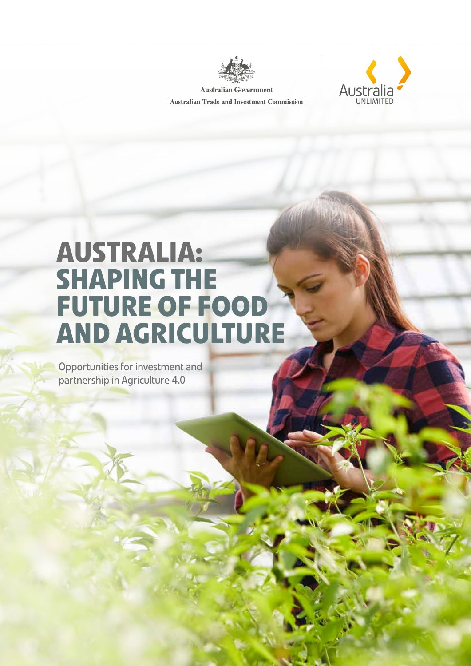

**Australia** 

**Australian Government Australian Trade and Investment Commission** 

# **AUSTRALIA: SHAPING THE FUTURE OF FOOD AND AGRICULTURE**

Opportunities for investment and partnership in Agriculture 4.0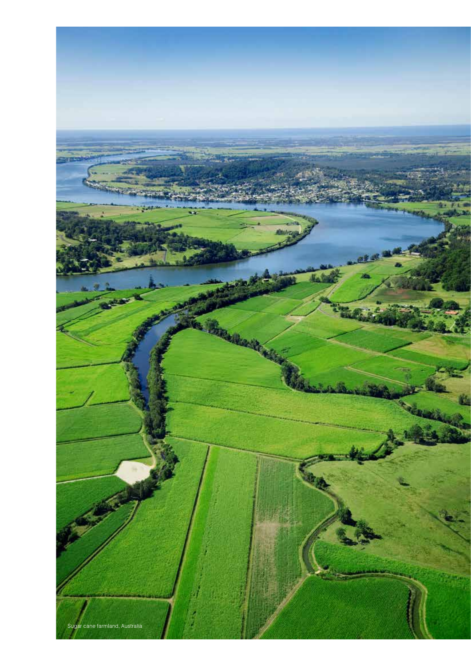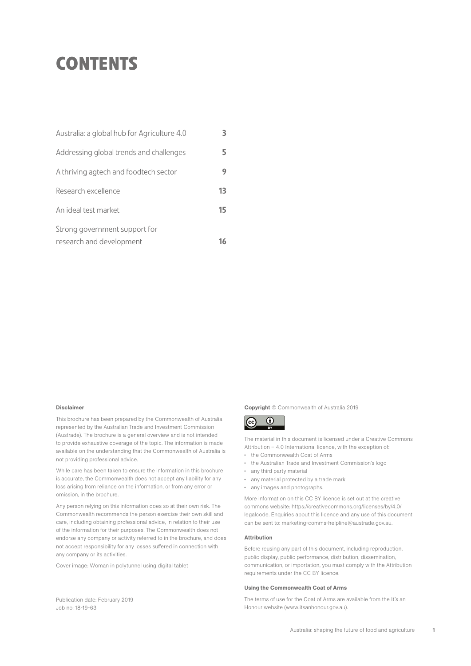## **CONTENTS**

| Australia: a global hub for Agriculture 4.0 |    |
|---------------------------------------------|----|
| Addressing global trends and challenges     |    |
| A thriving agtech and foodtech sector       |    |
| Research excellence                         | 13 |
| An ideal test market                        | 15 |
| Strong government support for               |    |
| research and development                    |    |

#### Disclaimer

This brochure has been prepared by the Commonwealth of Australia represented by the Australian Trade and Investment Commission (Austrade). The brochure is a general overview and is not intended to provide exhaustive coverage of the topic. The information is made available on the understanding that the Commonwealth of Australia is not providing professional advice.

While care has been taken to ensure the information in this brochure is accurate, the Commonwealth does not accept any liability for any loss arising from reliance on the information, or from any error or omission, in the brochure.

Any person relying on this information does so at their own risk. The Commonwealth recommends the person exercise their own skill and care, including obtaining professional advice, in relation to their use of the information for their purposes. The Commonwealth does not endorse any company or activity referred to in the brochure, and does not accept responsibility for any losses suffered in connection with any company or its activities.

Cover image: Woman in polytunnel using digital tablet

### Copyright © Commonwealth of Australia 2019



The material in this document is licensed under a Creative Commons Attribution  $-4.0$  International licence, with the exception of

- the Commonwealth Coat of Arms
- the Australian Trade and Investment Commission's logo
- any third party material
- any material protected by a trade mark
- any images and photographs.

More information on this CC BY licence is set out at the creative commons website: https://creativecommons.org/licenses/by/4.0/ legalcode. Enquiries about this licence and any use of this document can be sent to: marketing-comms-helpline@austrade.gov.au.

#### Attribution

Before reusing any part of this document, including reproduction, public display, public performance, distribution, dissemination, communication, or importation, you must comply with the Attribution requirements under the CC BY licence.

#### Using the Commonwealth Coat of Arms

The terms of use for the Coat of Arms are available from the It's an Honour website (www.itsanhonour.gov.au).

Publication date: February 2019 Job no: 18-19-63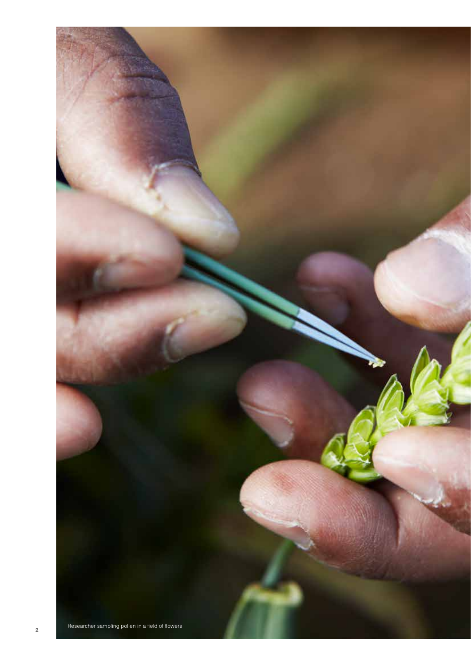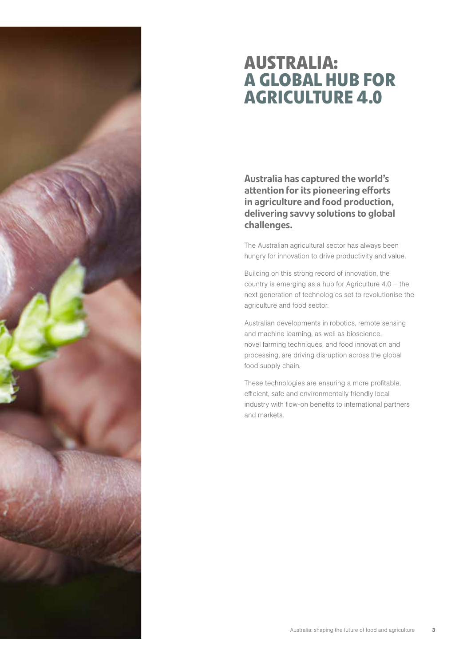

### **AUSTRALIA: A GLOBAL HUB FOR AGRICULTURE 4.0**

Australia has captured the world's attention for its pioneering efforts in agriculture and food production, delivering savvy solutions to global challenges.

The Australian agricultural sector has always been hungry for innovation to drive productivity and value.

Building on this strong record of innovation, the country is emerging as a hub for Agriculture 4.0 – the next generation of technologies set to revolutionise the agriculture and food sector.

Australian developments in robotics, remote sensing and machine learning, as well as bioscience, novel farming techniques, and food innovation and processing, are driving disruption across the global food supply chain.

These technologies are ensuring a more profitable, efficient, safe and environmentally friendly local industry with flow-on benefits to international partners and markets.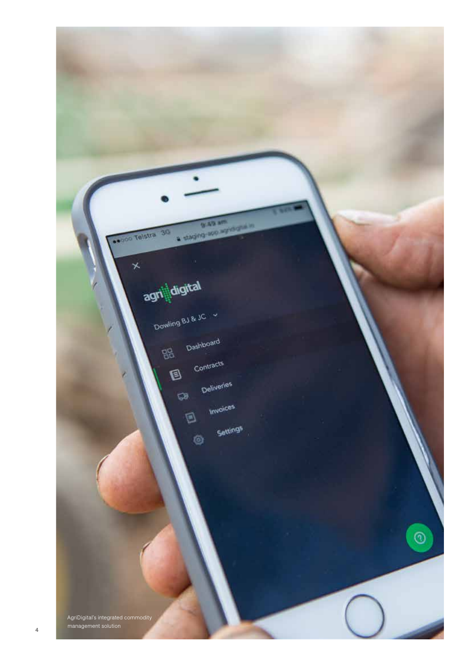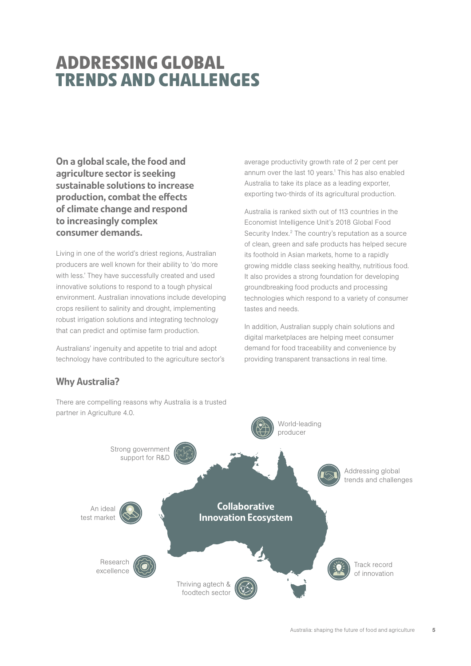## **ADDRESSING GLOBAL TRENDS AND CHALLENGES**

On a global scale, the food and agriculture sector is seeking sustainable solutions to increase production, combat the effects of climate change and respond to increasingly complex consumer demands.

Living in one of the world's driest regions, Australian producers are well known for their ability to 'do more with less.' They have successfully created and used innovative solutions to respond to a tough physical environment. Australian innovations include developing crops resilient to salinity and drought, implementing robust irrigation solutions and integrating technology that can predict and optimise farm production.

Australians' ingenuity and appetite to trial and adopt technology have contributed to the agriculture sector's

### Why Australia?

average productivity growth rate of 2 per cent per annum over the last 10 years.<sup>1</sup> This has also enabled Australia to take its place as a leading exporter, exporting two-thirds of its agricultural production.

Australia is ranked sixth out of 113 countries in the Economist Intelligence Unit's 2018 Global Food Security Index.<sup>2</sup> The country's reputation as a source of clean, green and safe products has helped secure its foothold in Asian markets, home to a rapidly growing middle class seeking healthy, nutritious food. It also provides a strong foundation for developing groundbreaking food products and processing technologies which respond to a variety of consumer tastes and needs.

In addition, Australian supply chain solutions and digital marketplaces are helping meet consumer demand for food traceability and convenience by providing transparent transactions in real time.



There are compelling reasons why Australia is a trusted partner in Agriculture 4.0.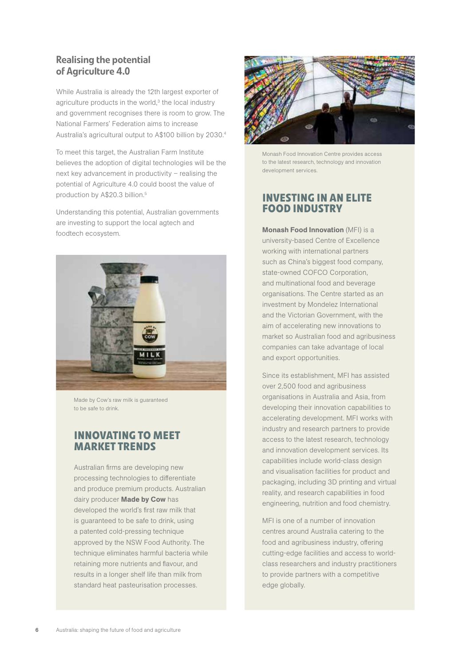#### Realising the potential of Agriculture 4.0

While Australia is already the 12th largest exporter of agriculture products in the world,<sup>3</sup> the local industry and government recognises there is room to grow. The National Farmers' Federation aims to increase Australia's agricultural output to A\$100 billion by 2030.4

To meet this target, the Australian Farm Institute believes the adoption of digital technologies will be the next key advancement in productivity – realising the potential of Agriculture 4.0 could boost the value of production by A\$20.3 billion.<sup>5</sup>

Understanding this potential, Australian governments are investing to support the local agtech and foodtech ecosystem.



Made by Cow's raw milk is guaranteed to be safe to drink.

### **INNOVATING TO MEET MARKET TRENDS**

Australian firms are developing new processing technologies to differentiate and produce premium products. Australian dairy producer **Made by Cow** has developed the world's first raw milk that is guaranteed to be safe to drink, using a patented cold-pressing technique approved by the NSW Food Authority. The technique eliminates harmful bacteria while retaining more nutrients and flavour, and results in a longer shelf life than milk from standard heat pasteurisation processes.



Monash Food Innovation Centre provides access to the latest research, technology and innovation development services.

### **INVESTING IN AN ELITE FOOD INDUSTRY**

Monash Food Innovation (MFI) is a university-based Centre of Excellence working with international partners such as China's biggest food company, state-owned COFCO Corporation, and multinational food and beverage organisations. The Centre started as an investment by Mondelez International and the Victorian Government, with the aim of accelerating new innovations to market so Australian food and agribusiness companies can take advantage of local and export opportunities.

Since its establishment, MFI has assisted over 2,500 food and agribusiness organisations in Australia and Asia, from developing their innovation capabilities to accelerating development. MFI works with industry and research partners to provide access to the latest research, technology and innovation development services. Its capabilities include world-class design and visualisation facilities for product and packaging, including 3D printing and virtual reality, and research capabilities in food engineering, nutrition and food chemistry.

MFI is one of a number of innovation centres around Australia catering to the food and agribusiness industry, offering cutting-edge facilities and access to worldclass researchers and industry practitioners to provide partners with a competitive edge globally.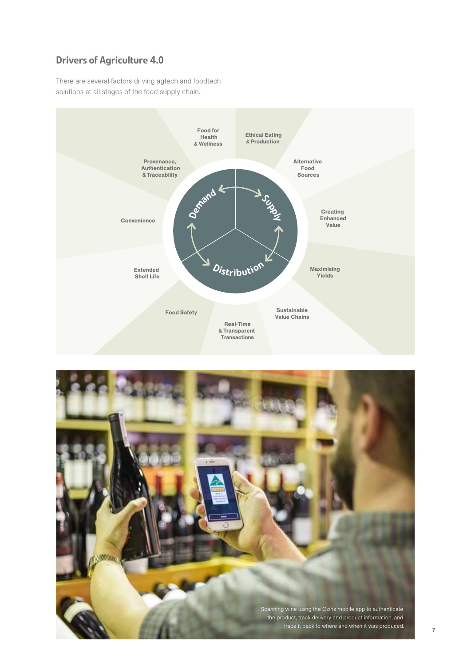### Drivers of Agriculture 4.0

There are several factors driving agtech and foodtech solutions at all stages of the food supply chain.



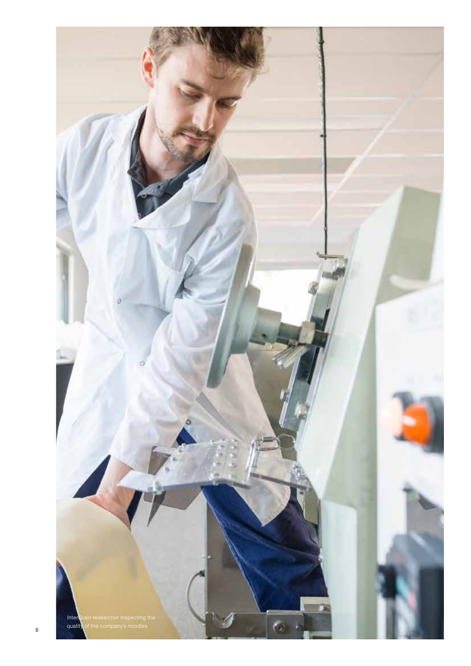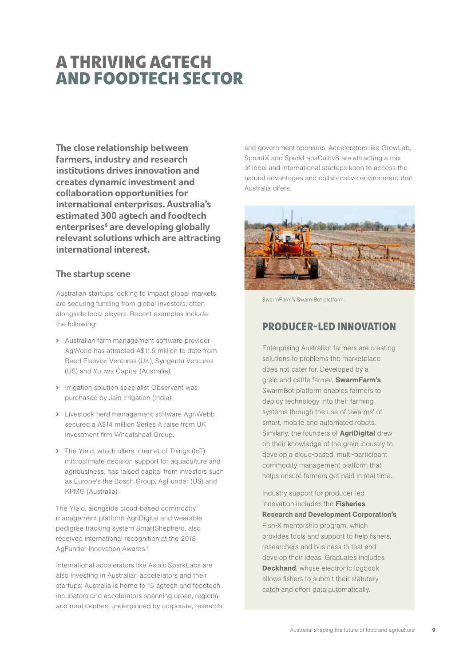## **A THRIVING AGTECH AND FOODTECH SECTOR**

The close relationship between farmers, industry and research institutions drives innovation and creates dynamic investment and collaboration opportunities for international enterprises. Australia's estimated 300 agtech and foodtech enterprises<sup>6</sup> are developing globally relevant solutions which are attracting international interest.

#### The startup scene

Australian startups looking to impact global markets are securing funding from global investors, often alongside local players. Recent examples include the following:

- › Australian farm management software provider AgWorld has attracted A\$11.5 million to date from Reed Elsevier Ventures (UK), Syngenta Ventures (US) and Yuuwa Capital (Australia).
- › Irrigation solution specialist Observant was purchased by Jain Irrigation (India).
- › Livestock herd management software AgriWebb secured a A\$14 million Series A raise from UK investment firm Wheatsheaf Group.
- › The Yield, which offers Internet of Things (IoT) microclimate decision support for aquaculture and agribusiness, has raised capital from investors such as Europe's the Bosch Group, AgFunder (US) and KPMG (Australia).

The Yield, alongside cloud-based commodity management platform AgriDigital and wearable pedigree tracking system SmartShepherd, also received international recognition at the 2018 AgFunder Innovation Awards.7

International accelerators like Asia's SparkLabs are also investing in Australian accelerators and their startups. Australia is home to 15 agtech and foodtech incubators and accelerators spanning urban, regional and rural centres, underpinned by corporate, research and government sponsors. Accelerators like GrowLab, SproutX and SparkLabsCultiv8 are attracting a mix of local and international startups keen to access the natural advantages and collaborative environment that Australia offers.



SwarmFarm's SwarmBot platform.

#### **PRODUCER-LED INNOVATION**

Enterprising Australian farmers are creating solutions to problems the marketplace does not cater for. Developed by a grain and cattle farmer, SwarmFarm's SwarmBot platform enables farmers to deploy technology into their farming systems through the use of 'swarms' of smart, mobile and automated robots. Similarly, the founders of **AgriDigital** drew on their knowledge of the grain industry to develop a cloud-based, multi-participant commodity management platform that helps ensure farmers get paid in real time.

Industry support for producer-led innovation includes the Fisheries Research and Development Corporation's Fish-X mentorship program, which provides tools and support to help fishers, researchers and business to test and develop their ideas. Graduates includes Deckhand, whose electronic logbook allows fishers to submit their statutory catch and effort data automatically.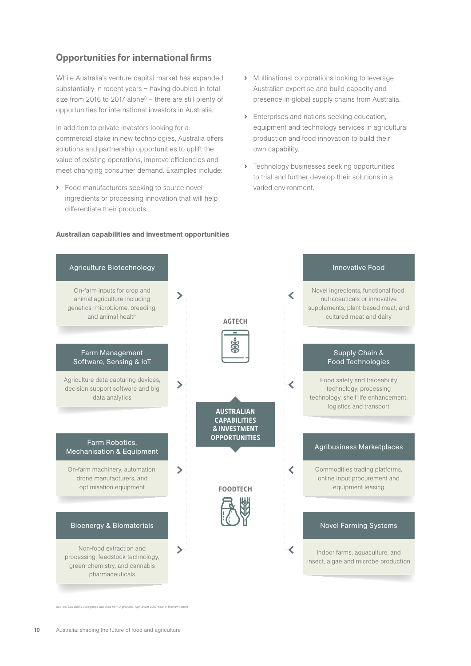### Opportunities for international firms

While Australia's venture capital market has expanded substantially in recent years – having doubled in total size from 2016 to 2017 alone $8$  – there are still plenty of opportunities for international investors in Australia.

In addition to private investors looking for a commercial stake in new technologies, Australia offers solutions and partnership opportunities to uplift the value of existing operations, improve efficiencies and meet changing consumer demand. Examples include:

› Food manufacturers seeking to source novel ingredients or processing innovation that will help differentiate their products.

- › Multinational corporations looking to leverage Australian expertise and build capacity and presence in global supply chains from Australia.
- › Enterprises and nations seeking education, equipment and technology services in agricultural production and food innovation to build their own capability.
- › Technology businesses seeking opportunities to trial and further develop their solutions in a varied environment.



#### Australian capabilities and investment opportunities

se: Capability categories adopted from AgFunder, AgFunder 2017 Year in Review report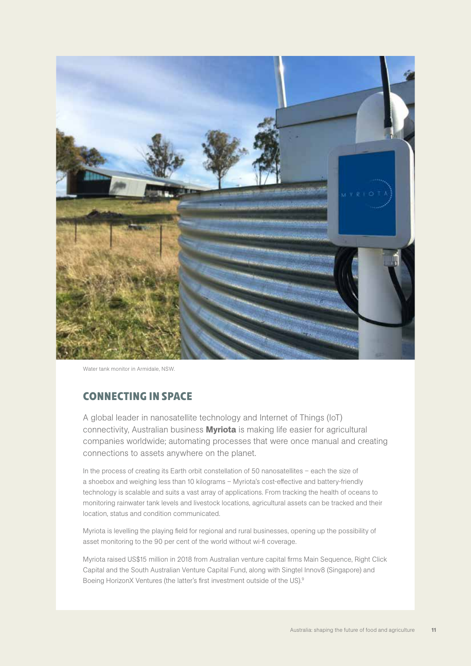

Water tank monitor in Armidale, NSW.

### **CONNECTING IN SPACE**

A global leader in nanosatellite technology and Internet of Things (IoT) connectivity, Australian business **Myriota** is making life easier for agricultural companies worldwide; automating processes that were once manual and creating connections to assets anywhere on the planet.

In the process of creating its Earth orbit constellation of 50 nanosatellites – each the size of a shoebox and weighing less than 10 kilograms – Myriota's cost-effective and battery-friendly technology is scalable and suits a vast array of applications. From tracking the health of oceans to monitoring rainwater tank levels and livestock locations, agricultural assets can be tracked and their location, status and condition communicated.

Myriota is levelling the playing field for regional and rural businesses, opening up the possibility of asset monitoring to the 90 per cent of the world without wi-fi coverage.

Myriota raised US\$15 million in 2018 from Australian venture capital firms Main Sequence, Right Click Capital and the South Australian Venture Capital Fund, along with Singtel Innov8 (Singapore) and Boeing HorizonX Ventures (the latter's first investment outside of the US).9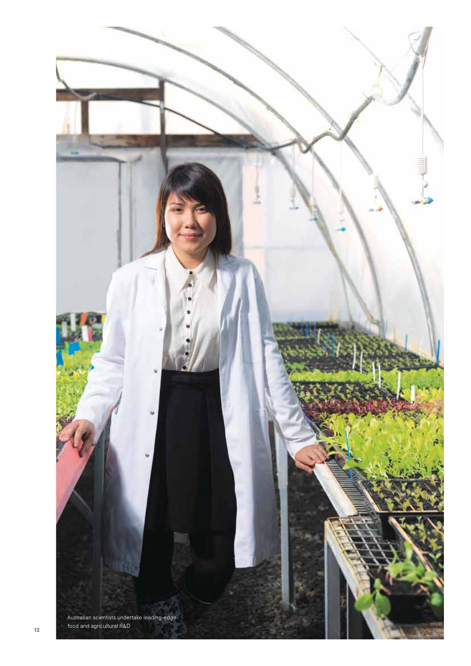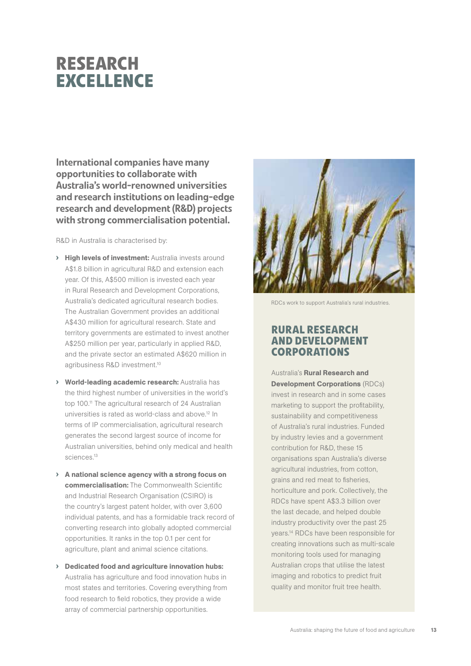## **RESEARCH EXCELLENCE**

International companies have many opportunities to collaborate with Australia's world-renowned universities and research institutions on leading-edge research and development (R&D) projects with strong commercialisation potential.

R&D in Australia is characterised by:

- › High levels of investment: Australia invests around A\$1.8 billion in agricultural R&D and extension each year. Of this, A\$500 million is invested each year in Rural Research and Development Corporations, Australia's dedicated agricultural research bodies. The Australian Government provides an additional A\$430 million for agricultural research. State and territory governments are estimated to invest another A\$250 million per year, particularly in applied R&D, and the private sector an estimated A\$620 million in agribusiness R&D investment.10
- › World-leading academic research: Australia has the third highest number of universities in the world's top 100.11 The agricultural research of 24 Australian universities is rated as world-class and above.12 In terms of IP commercialisation, agricultural research generates the second largest source of income for Australian universities, behind only medical and health sciences.<sup>13</sup>
- › A national science agency with a strong focus on commercialisation: The Commonwealth Scientific and Industrial Research Organisation (CSIRO) is the country's largest patent holder, with over 3,600 individual patents, and has a formidable track record of converting research into globally adopted commercial opportunities. It ranks in the top 0.1 per cent for agriculture, plant and animal science citations.
- › Dedicated food and agriculture innovation hubs: Australia has agriculture and food innovation hubs in most states and territories. Covering everything from food research to field robotics, they provide a wide array of commercial partnership opportunities.



RDCs work to support Australia's rural industries.

### **RURAL RESEARCH AND DEVELOPMENT CORPORATIONS**

Australia's Rural Research and Development Corporations (RDCs) invest in research and in some cases marketing to support the profitability, sustainability and competitiveness of Australia's rural industries. Funded by industry levies and a government contribution for R&D, these 15 organisations span Australia's diverse agricultural industries, from cotton, grains and red meat to fisheries, horticulture and pork. Collectively, the RDCs have spent A\$3.3 billion over the last decade, and helped double industry productivity over the past 25 years.14 RDCs have been responsible for creating innovations such as multi-scale monitoring tools used for managing Australian crops that utilise the latest imaging and robotics to predict fruit quality and monitor fruit tree health.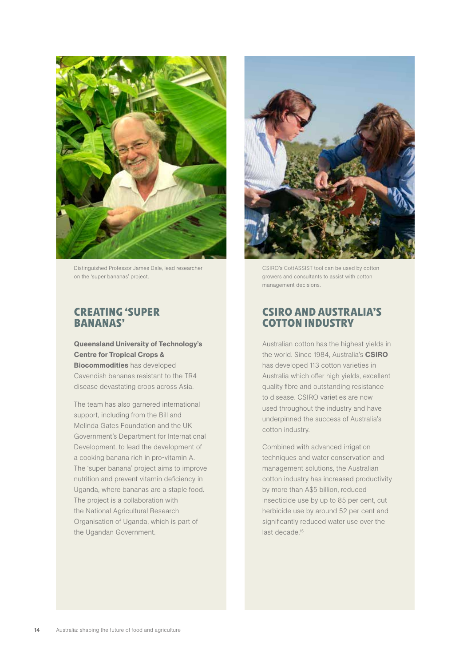

Distinguished Professor James Dale, lead researcher on the 'super bananas' project.

#### **CREATING 'SUPER BANANAS'**

#### Queensland University of Technology's Centre for Tropical Crops &

Biocommodities has developed Cavendish bananas resistant to the TR4 disease devastating crops across Asia.

The team has also garnered international support, including from the Bill and Melinda Gates Foundation and the UK Government's Department for International Development, to lead the development of a cooking banana rich in pro-vitamin A. The 'super banana' project aims to improve nutrition and prevent vitamin deficiency in Uganda, where bananas are a staple food. The project is a collaboration with the National Agricultural Research Organisation of Uganda, which is part of the Ugandan Government.



CSIRO's CottASSIST tool can be used by cotton growers and consultants to assist with cotton management decisions.

#### **CSIRO AND AUSTRALIA'S COTTON INDUSTRY**

Australian cotton has the highest yields in the world. Since 1984, Australia's CSIRO has developed 113 cotton varieties in Australia which offer high yields, excellent quality fibre and outstanding resistance to disease. CSIRO varieties are now used throughout the industry and have underpinned the success of Australia's cotton industry.

Combined with advanced irrigation techniques and water conservation and management solutions, the Australian cotton industry has increased productivity by more than A\$5 billion, reduced insecticide use by up to 85 per cent, cut herbicide use by around 52 per cent and significantly reduced water use over the last decade.<sup>15</sup>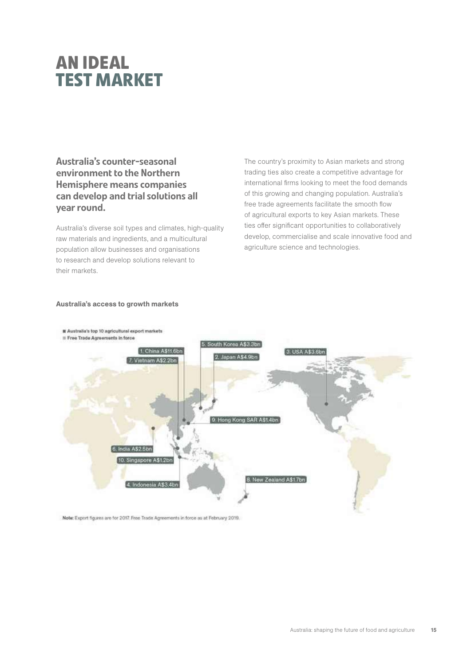## **AN IDEAL TEST MARKET**

Australia's counter-seasonal environment to the Northern Hemisphere means companies can develop and trial solutions all year round.

Australia's diverse soil types and climates, high-quality raw materials and ingredients, and a multicultural population allow businesses and organisations to research and develop solutions relevant to their markets.

The country's proximity to Asian markets and strong trading ties also create a competitive advantage for international firms looking to meet the food demands of this growing and changing population. Australia's free trade agreements facilitate the smooth flow of agricultural exports to key Asian markets. These ties offer significant opportunities to collaboratively develop, commercialise and scale innovative food and agriculture science and technologies.

#### Australia's access to growth markets



Note: Export figures are for 2017. Free Trade Agreements in force as at February 2019.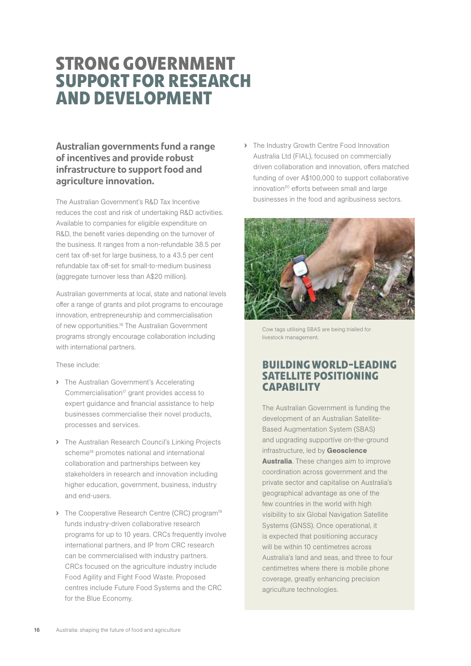## **STRONG GOVERNMENT SUPPORT FOR RESEARCH AND DEVELOPMENT**

#### Australian governments fund a range of incentives and provide robust infrastructure to support food and agriculture innovation.

The Australian Government's R&D Tax Incentive reduces the cost and risk of undertaking R&D activities. Available to companies for eligible expenditure on R&D, the benefit varies depending on the turnover of the business. It ranges from a non-refundable 38.5 per cent tax off-set for large business, to a 43.5 per cent refundable tax off-set for small-to-medium business (aggregate turnover less than A\$20 million).

Australian governments at local, state and national levels offer a range of grants and pilot programs to encourage innovation, entrepreneurship and commercialisation of new opportunities.16 The Australian Government programs strongly encourage collaboration including with international partners.

These include:

- › The Australian Government's Accelerating Commercialisation<sup>17</sup> grant provides access to expert guidance and financial assistance to help businesses commercialise their novel products, processes and services.
- › The Australian Research Council's Linking Projects scheme<sup>18</sup> promotes national and international collaboration and partnerships between key stakeholders in research and innovation including higher education, government, business, industry and end-users.
- I The Cooperative Research Centre (CRC) program<sup>19</sup> funds industry-driven collaborative research programs for up to 10 years. CRCs frequently involve international partners, and IP from CRC research can be commercialised with industry partners. CRCs focused on the agriculture industry include Food Agility and Fight Food Waste. Proposed centres include Future Food Systems and the CRC for the Blue Economy.

› The Industry Growth Centre Food Innovation Australia Ltd (FIAL), focused on commercially driven collaboration and innovation, offers matched funding of over A\$100,000 to support collaborative innovation<sup>20</sup> efforts between small and large businesses in the food and agribusiness sectors.



Cow tags utilising SBAS are being trialled for livestock management.

#### **BUILDING WORLD-LEADING SATELLITE POSITIONING CAPABILITY**

The Australian Government is funding the development of an Australian Satellite-Based Augmentation System (SBAS) and upgrading supportive on-the-ground infrastructure, led by Geoscience Australia. These changes aim to improve coordination across government and the private sector and capitalise on Australia's geographical advantage as one of the few countries in the world with high visibility to six Global Navigation Satellite Systems (GNSS). Once operational, it is expected that positioning accuracy will be within 10 centimetres across Australia's land and seas, and three to four centimetres where there is mobile phone coverage, greatly enhancing precision agriculture technologies.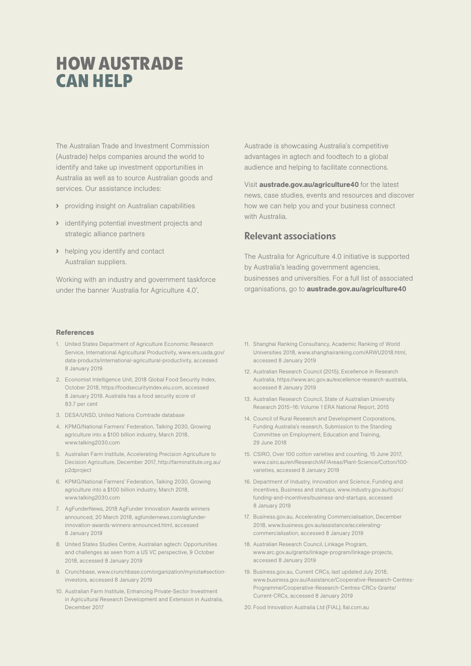## **HOW AUSTRADE CAN HELP**

The Australian Trade and Investment Commission (Austrade) helps companies around the world to identify and take up investment opportunities in Australia as well as to source Australian goods and services. Our assistance includes:

- › providing insight on Australian capabilities
- › identifying potential investment projects and strategic alliance partners
- › helping you identify and contact Australian suppliers.

Working with an industry and government taskforce under the banner 'Australia for Agriculture 4.0',

#### **References**

- 1. United States Department of Agriculture Economic Research Service, International Agricultural Productivity, www.ers.usda.gov/ data-products/international-agricultural-productivity, accessed 8 January 2019
- 2. Economist Intelligence Unit, 2018 Global Food Security Index, October 2018, https://foodsecurityindex.eiu.com, accessed 8 January 2019. Australia has a food security score of 83.7 per cent
- 3. DESA/UNSD, United Nations Comtrade database
- 4. KPMG/National Farmers' Federation, Talking 2030, Growing agriculture into a \$100 billion industry, March 2018, www.talking2030.com
- 5. Australian Farm Institute, Accelerating Precision Agriculture to Decision Agriculture, December 2017, http://farminstitute.org.au/ p2dproject
- 6. KPMG/National Farmers' Federation, Talking 2030, Growing agriculture into a \$100 billion industry, March 2018, www.talking2030.com
- 7. AgFunderNews, 2018 AgFunder Innovation Awards winners announced, 20 March 2018, agfundernews.com/agfunderinnovation-awards-winners-announced.html, accessed 8 January 2019
- 8. United States Studies Centre, Australian agtech: Opportunities and challenges as seen from a US VC perspective, 9 October 2018, accessed 8 January 2019
- 9. Crunchbase, www.crunchbase.com/organization/myriota#sectioninvestors, accessed 8 January 2019
- 10. Australian Farm Institute, Enhancing Private-Sector Investment in Agricultural Research Development and Extension in Australia, December 2017

Austrade is showcasing Australia's competitive advantages in agtech and foodtech to a global audience and helping to facilitate connections.

Visit **austrade.gov.au/agriculture40** for the latest news, case studies, events and resources and discover how we can help you and your business connect with Australia.

#### Relevant associations

The Australia for Agriculture 4.0 initiative is supported by Australia's leading government agencies, businesses and universities. For a full list of associated organisations, go to austrade.gov.au/agriculture40

- 11. Shanghai Ranking Consultancy, Academic Ranking of World Universities 2018, www.shanghairanking.com/ARWU2018.html, accessed 8 January 2019
- 12. Australian Research Council (2015), Excellence in Research Australia, https://www.arc.gov.au/excellence-research-australia, accessed 8 January 2019
- 13. Australian Research Council, State of Australian University Research 2015–16: Volume 1 ERA National Report, 2015
- 14. Council of Rural Research and Development Corporations, Funding Australia's research, Submission to the Standing Committee on Employment, Education and Training, 29 June 2018
- 15. CSIRO, Over 100 cotton varieties and counting, 15 June 2017, www.csiro.au/en/Research/AF/Areas/Plant-Science/Cotton/100 varieties, accessed 8 January 2019
- 16. Department of Industry, Innovation and Science, Funding and incentives, Business and startups, www.industry.gov.au/topic/ funding-and-incentives/business-and-startups, accessed 8 January 2019
- 17. Business.gov.au, Accelerating Commercialisation, December 2018, www.business.gov.au/assistance/acceleratingcommercialisation, accessed 8 January 2019
- 18. Australian Research Council, Linkage Program, www.arc.gov.au/grants/linkage-program/linkage-projects, accessed 8 January 2019
- 19. Business.gov.au, Current CRCs, last updated July 2018, www.business.gov.au/Assistance/Cooperative-Research-Centres-Programme/Cooperative-Research-Centres-CRCs-Grants/ Current-CRCs, accessed 8 January 2019
- 20. Food Innovation Australia Ltd (FIAL), fial.com.au